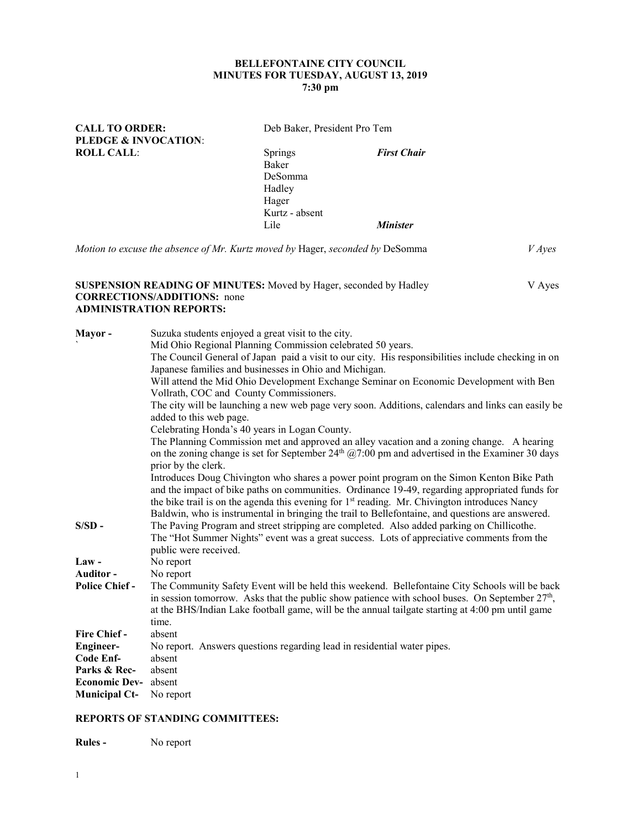### **BELLEFONTAINE CITY COUNCIL MINUTES FOR TUESDAY, AUGUST 13, 2019 7:30 pm**

**CALL TO ORDER:** Deb Baker, President Pro Tem

|                   | <b>PLEDGE &amp; INVOCATION:</b>                                                                                                           |                                                                                                                                                                                                                             |                                                                                                                                                                                                                                                                                                                                                                                                                                                                                                                                                                    |               |
|-------------------|-------------------------------------------------------------------------------------------------------------------------------------------|-----------------------------------------------------------------------------------------------------------------------------------------------------------------------------------------------------------------------------|--------------------------------------------------------------------------------------------------------------------------------------------------------------------------------------------------------------------------------------------------------------------------------------------------------------------------------------------------------------------------------------------------------------------------------------------------------------------------------------------------------------------------------------------------------------------|---------------|
| <b>ROLL CALL:</b> |                                                                                                                                           | Springs<br>Baker<br>DeSomma<br>Hadley<br>Hager                                                                                                                                                                              | <b>First Chair</b>                                                                                                                                                                                                                                                                                                                                                                                                                                                                                                                                                 |               |
|                   |                                                                                                                                           | Kurtz - absent                                                                                                                                                                                                              |                                                                                                                                                                                                                                                                                                                                                                                                                                                                                                                                                                    |               |
|                   |                                                                                                                                           | Lile                                                                                                                                                                                                                        | <b>Minister</b>                                                                                                                                                                                                                                                                                                                                                                                                                                                                                                                                                    |               |
|                   | Motion to excuse the absence of Mr. Kurtz moved by Hager, seconded by DeSomma                                                             |                                                                                                                                                                                                                             |                                                                                                                                                                                                                                                                                                                                                                                                                                                                                                                                                                    | <i>V</i> Ayes |
|                   | SUSPENSION READING OF MINUTES: Moved by Hager, seconded by Hadley<br><b>CORRECTIONS/ADDITIONS:</b> none<br><b>ADMINISTRATION REPORTS:</b> |                                                                                                                                                                                                                             |                                                                                                                                                                                                                                                                                                                                                                                                                                                                                                                                                                    | V Ayes        |
| Mayor -           | Vollrath, COC and County Commissioners.<br>added to this web page.<br>prior by the clerk.                                                 | Suzuka students enjoyed a great visit to the city.<br>Mid Ohio Regional Planning Commission celebrated 50 years.<br>Japanese families and businesses in Ohio and Michigan.<br>Celebrating Honda's 40 years in Logan County. | The Council General of Japan paid a visit to our city. His responsibilities include checking in on<br>Will attend the Mid Ohio Development Exchange Seminar on Economic Development with Ben<br>The city will be launching a new web page very soon. Additions, calendars and links can easily be<br>The Planning Commission met and approved an alley vacation and a zoning change. A hearing<br>on the zoning change is set for September $24th$ ( $a$ 7:00 pm and advertised in the Examiner 30 days<br>$\alpha$ is the set of $\alpha$ in $\alpha$ in $\alpha$ |               |

Introduces Doug Chivington who shares a power point program on the Simon Kenton Bike Path and the impact of bike paths on communities. Ordinance 19-49, regarding appropriated funds for the bike trail is on the agenda this evening for  $1<sup>st</sup>$  reading. Mr. Chivington introduces Nancy Baldwin, who is instrumental in bringing the trail to Bellefontaine, and questions are answered. **S/SD -** The Paving Program and street stripping are completed. Also added parking on Chillicothe.

# The "Hot Summer Nights" event was a great success. Lots of appreciative comments from the public were received. Law - No report

**Auditor -** No report **Police Chief -** The Community Safety Event will be held this weekend. Bellefontaine City Schools will be back in session tomorrow. Asks that the public show patience with school buses. On September  $27<sup>th</sup>$ , at the BHS/Indian Lake football game, will be the annual tailgate starting at 4:00 pm until game time. **Fire Chief -** absent **Engineer-** No report. Answers questions regarding lead in residential water pipes. **Code Enf-** absent **Parks & Rec-** absent **Economic Dev-** absent **Municipal Ct-** No report

#### **REPORTS OF STANDING COMMITTEES:**

**Rules -** No report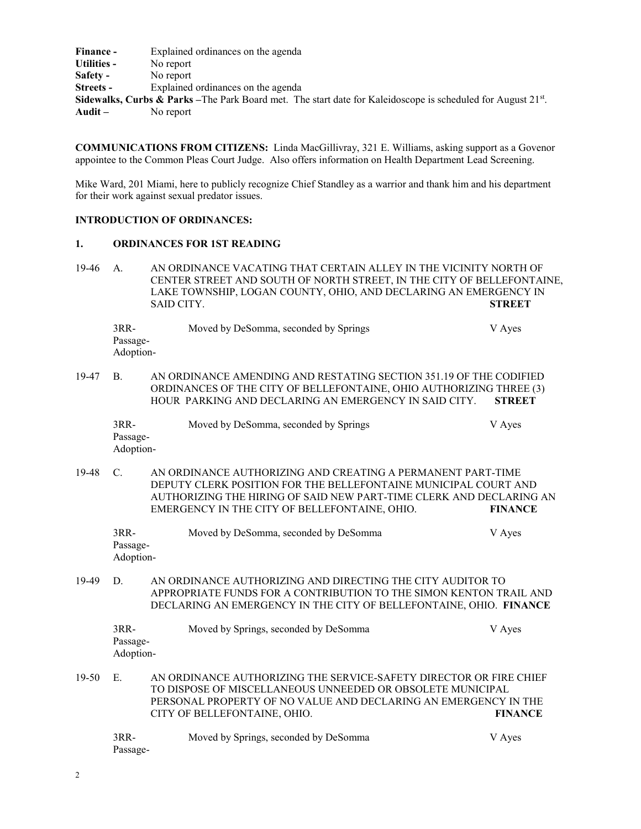**Finance -** Explained ordinances on the agenda **Utilities -** No report **Safety -** No report **Streets -** Explained ordinances on the agenda **Sidewalks, Curbs & Parks** –The Park Board met. The start date for Kaleidoscope is scheduled for August 21<sup>st</sup>. **Audit –** No report

**COMMUNICATIONS FROM CITIZENS:** Linda MacGillivray, 321 E. Williams, asking support as a Govenor appointee to the Common Pleas Court Judge. Also offers information on Health Department Lead Screening.

Mike Ward, 201 Miami, here to publicly recognize Chief Standley as a warrior and thank him and his department for their work against sexual predator issues.

## **INTRODUCTION OF ORDINANCES:**

#### **1. ORDINANCES FOR 1ST READING**

19-46 A. AN ORDINANCE VACATING THAT CERTAIN ALLEY IN THE VICINITY NORTH OF CENTER STREET AND SOUTH OF NORTH STREET, IN THE CITY OF BELLEFONTAINE, LAKE TOWNSHIP, LOGAN COUNTY, OHIO, AND DECLARING AN EMERGENCY IN SAID CITY. **STREET** 

3RR- Moved by DeSomma, seconded by Springs V Ayes Passage-Adoption-

19-47 B. AN ORDINANCE AMENDING AND RESTATING SECTION 351.19 OF THE CODIFIED ORDINANCES OF THE CITY OF BELLEFONTAINE, OHIO AUTHORIZING THREE (3) HOUR PARKING AND DECLARING AN EMERGENCY IN SAID CITY. **STREET**

| $3RR-$    | Moved by DeSomma, seconded by Springs | V Ayes |
|-----------|---------------------------------------|--------|
| Passage-  |                                       |        |
| Adoption- |                                       |        |

19-48 C. AN ORDINANCE AUTHORIZING AND CREATING A PERMANENT PART-TIME DEPUTY CLERK POSITION FOR THE BELLEFONTAINE MUNICIPAL COURT AND AUTHORIZING THE HIRING OF SAID NEW PART-TIME CLERK AND DECLARING AN EMERGENCY IN THE CITY OF BELLEFONTAINE, OHIO. **FINANCE**

| $3RR-$    | Moved by DeSomma, seconded by DeSomma | V Ayes |
|-----------|---------------------------------------|--------|
| Passage-  |                                       |        |
| Adoption- |                                       |        |

19-49 D. AN ORDINANCE AUTHORIZING AND DIRECTING THE CITY AUDITOR TO APPROPRIATE FUNDS FOR A CONTRIBUTION TO THE SIMON KENTON TRAIL AND DECLARING AN EMERGENCY IN THE CITY OF BELLEFONTAINE, OHIO. **FINANCE**

| 3RR-      | Moved by Springs, seconded by DeSomma | V Ayes |
|-----------|---------------------------------------|--------|
| Passage-  |                                       |        |
| Adoption- |                                       |        |
|           |                                       |        |

19-50 E. AN ORDINANCE AUTHORIZING THE SERVICE-SAFETY DIRECTOR OR FIRE CHIEF TO DISPOSE OF MISCELLANEOUS UNNEEDED OR OBSOLETE MUNICIPAL PERSONAL PROPERTY OF NO VALUE AND DECLARING AN EMERGENCY IN THE CITY OF BELLEFONTAINE, OHIO. **FINANCE**

| 3RR-     | Moved by Springs, seconded by DeSomma | V Ayes |
|----------|---------------------------------------|--------|
| Passage- |                                       |        |